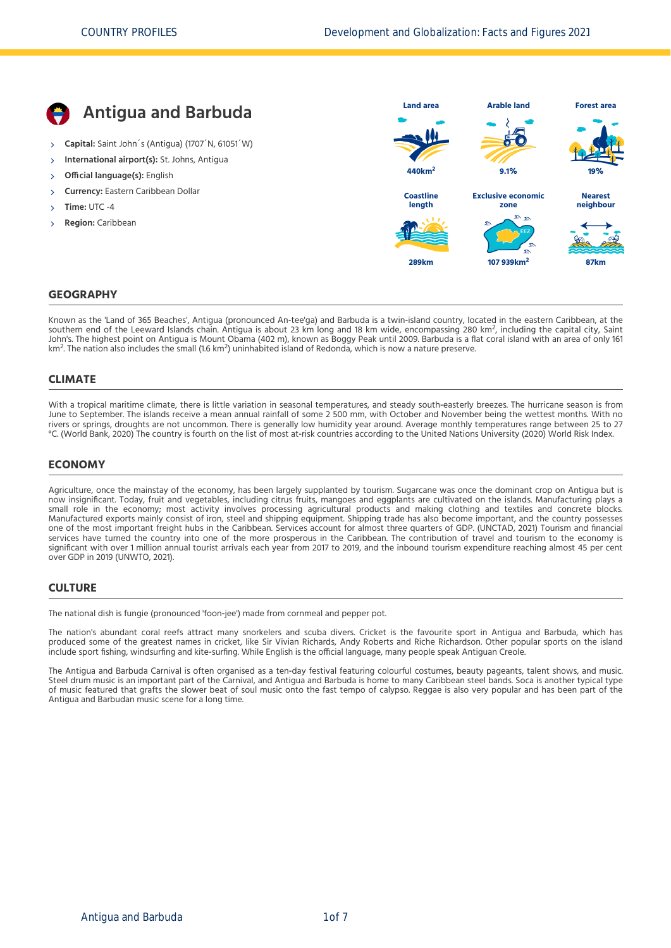

Known as the 'Land of 365 Beaches', Antigua (pronounced An‐tee'ga) and Barbuda is a twin‐island country, located in the eastern Caribbean, at the Southern end of the Leeward Islands chain. Antigua is about 23 km long and 18 km wide, encompassing 280 km<sup>2</sup>, including the capital city, Saint Southern end of the Leeward Islands chain. Antigua is about 23 km long and 18 John's. The nighest point on Antigua is Modific Obama (402 hr), Known as boggy Heak dritir 2009. Barbuda is a m<br>km<sup>2</sup>. The nation also includes the small (1.6 km<sup>2</sup>) uninhabited island of Redonda, which is now a nature pre 2

#### **CLIMATE**

With a tropical maritime climate, there is little variation in seasonal temperatures, and steady south‐easterly breezes. The hurricane season is from June to September. The islands receive a mean annual rainfall of some 2 500 mm, with October and November being the wettest months. With no rivers or springs, droughts are not uncommon. There is generally low humidity year around. Average monthly temperatures range between 25 to 27 °C. [\(World Bank, 2020\)](#page-6-0) The country is fourth on the list of most at-risk countries according to the United Nations University [\(2020\)](#page-6-1) World Risk Index.

### **ECONOMY**

Agriculture, once the mainstay of the economy, has been largely supplanted by tourism. Sugarcane was once the dominant crop on Antigua but is now insignificant. Today, fruit and vegetables, including citrus fruits, mangoes and eggplants are cultivated on the islands. Manufacturing plays a small role in the economy; most activity involves processing agricultural products and making clothing and textiles and concrete blocks. Manufactured exports mainly consist of iron, steel and shipping equipment. Shipping trade has also become important, and the country possesses one of the most important freight hubs in the Caribbean. Services account for almost three quarters of GDP. [\(UNCTAD, 2021\)](#page-6-2) Tourism and financial services have turned the country into one of the more prosperous in the Caribbean. The contribution of travel and tourism to the economy is significant with over 1 million annual tourist arrivals each year from 2017 to 2019, and the inbound tourism expenditure reaching almost 45 per cent over GDP in 2019 [\(UNWTO, 2021\)](#page-6-3).

### **CULTURE**

The national dish is fungie (pronounced 'foon-iee') made from cornmeal and pepper pot.

The nation's abundant coral reefs attract many snorkelers and scuba divers. Cricket is the favourite sport in Antigua and Barbuda, which has produced some of the greatest names in cricket, like Sir Vivian Richards, Andy Roberts and Riche Richardson. Other popular sports on the island include sport fishing, windsurfing and kite‐surfing. While English is the official language, many people speak Antiguan Creole.

The Antigua and Barbuda Carnival is often organised as a ten-day festival featuring colourful costumes, beauty pageants, talent shows, and music. Steel drum music is an important part of the Carnival, and Antigua and Barbuda is home to many Caribbean steel bands. Soca is another typical type of music featured that grafts the slower beat of soul music onto the fast tempo of calypso. Reggae is also very popular and has been part of the Antigua and Barbudan music scene for a long time.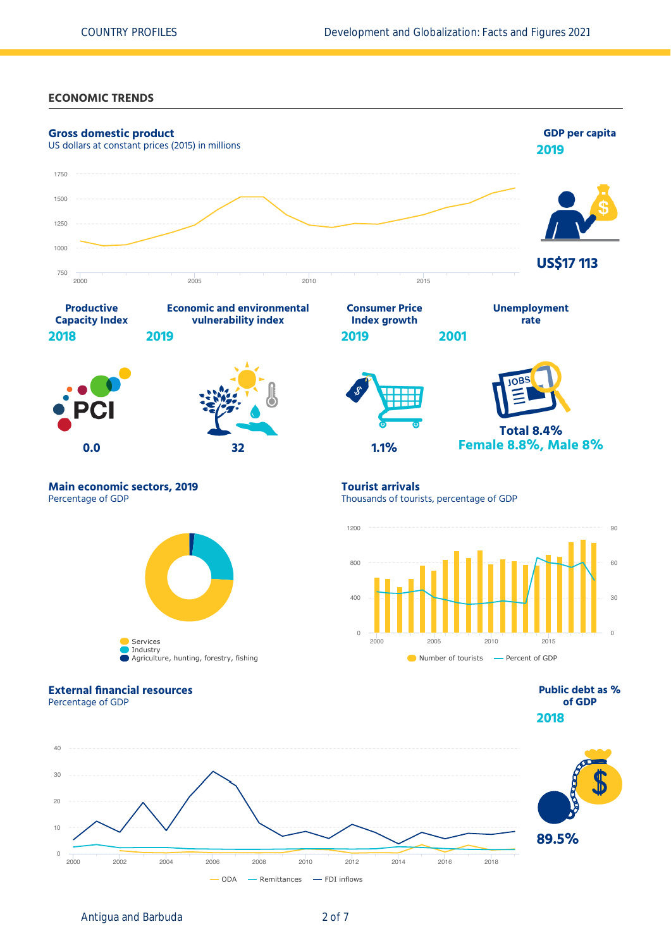#### **ECONOMIC TRENDS**



Antigua and Barbuda 2 of 7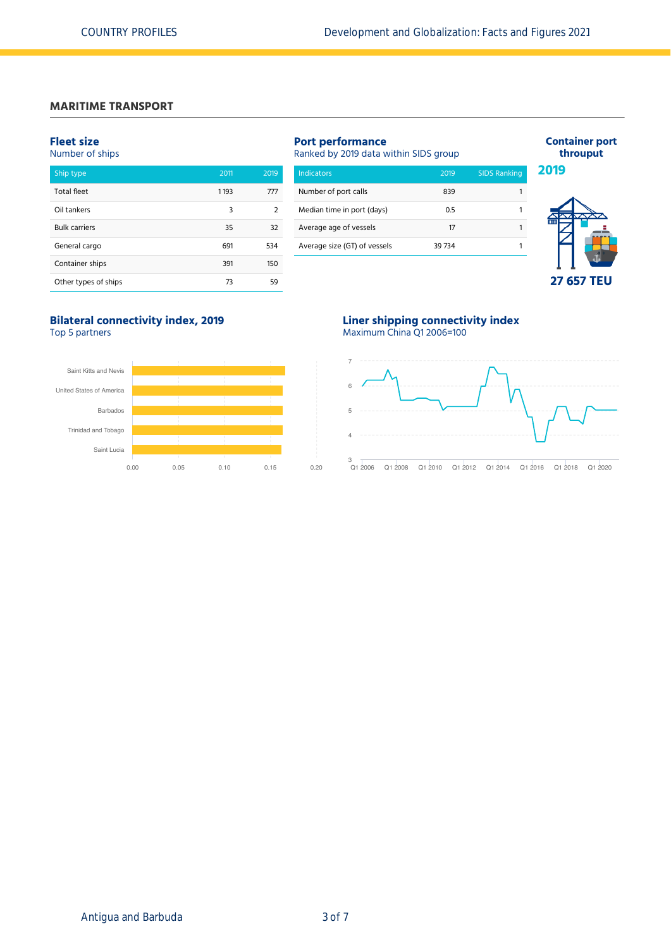# **MARITIME TRANSPORT**

## **Fleet size**

| Number of ships      |      |      |  |  |  |  |
|----------------------|------|------|--|--|--|--|
| Ship type            | 2011 | 2019 |  |  |  |  |
| <b>Total fleet</b>   | 1193 | 777  |  |  |  |  |
| Oil tankers          | 3    | 2    |  |  |  |  |
| <b>Bulk carriers</b> | 35   | 32   |  |  |  |  |
| General cargo        | 691  | 534  |  |  |  |  |
| Container ships      | 391  | 150  |  |  |  |  |
| Other types of ships | 73   | 59   |  |  |  |  |

| <b>Indicators</b>            | 2019   | <b>SIDS Ranking</b> |
|------------------------------|--------|---------------------|
| Number of port calls         | 839    |                     |
| Median time in port (days)   | 0.5    |                     |
| Average age of vessels       | 17     |                     |
| Average size (GT) of vessels | 39 734 |                     |

## **Container port throuput 2019**



# **Bilateral connectivity index, 2019**

Top 5 partners



# **Liner shipping connectivity index**

Maximum China Q1 2006=100

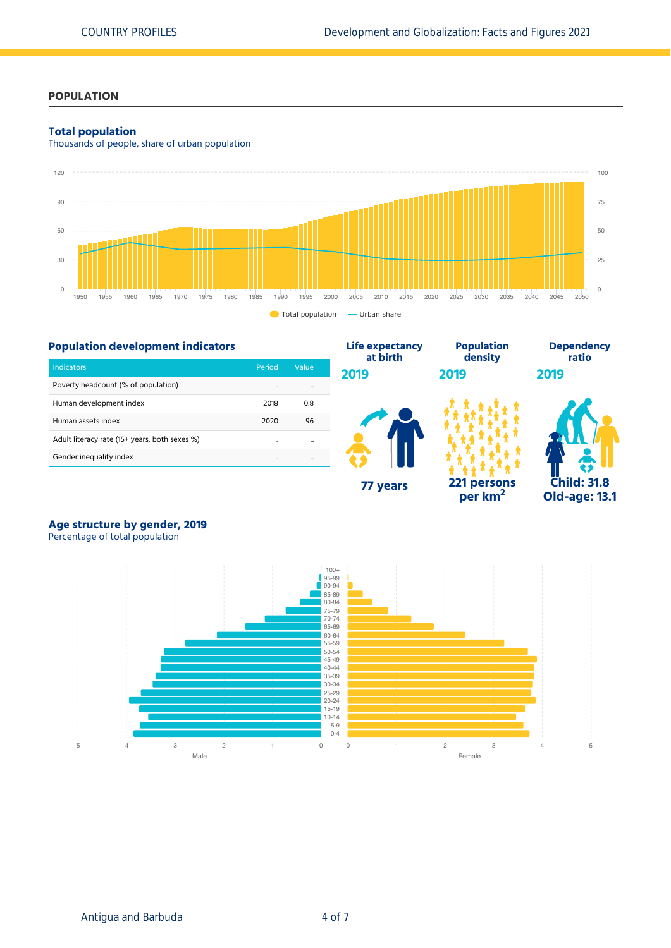## **POPULATION**

#### **Total population**

Thousands of people, share of urban population



**Life expectancy**

## **Population development indicators**

| <b>Indicators</b>                             | Period | Value |
|-----------------------------------------------|--------|-------|
| Poverty headcount (% of population)           |        |       |
| Human development index                       | 2018   | 0.8   |
| Human assets index                            | 2020   | 96    |
| Adult literacy rate (15+ years, both sexes %) |        |       |
| Gender inequality index                       |        |       |



**Population**

**per km<sup>2</sup>**



**Dependency**

# **Age structure by gender, 2019**

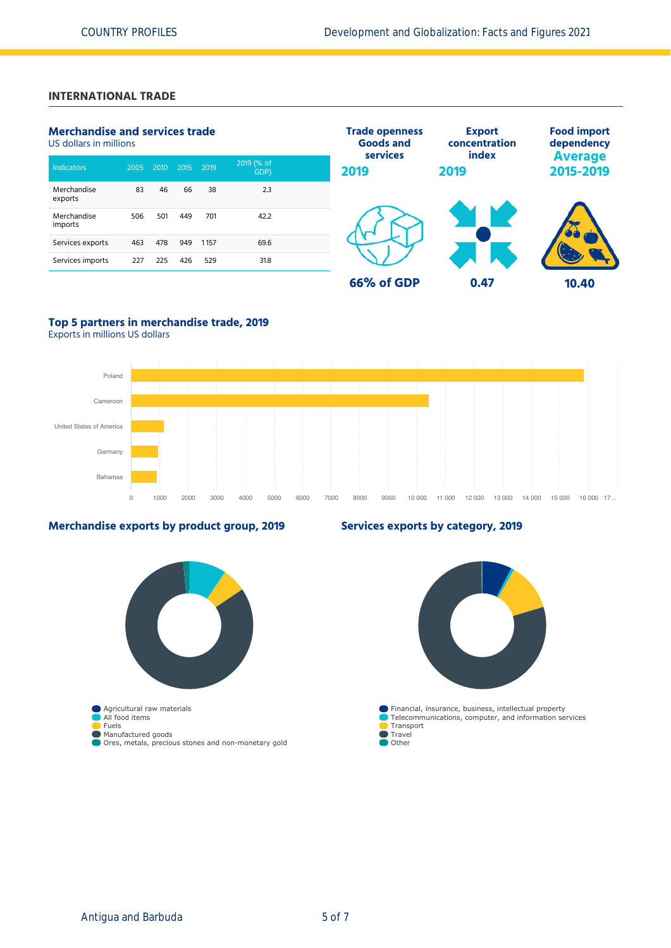# **INTERNATIONAL TRADE**

| <b>Merchandise and services trade</b><br>US dollars in millions |      |      | <b>Trade openness</b><br><b>Goods and</b> | <b>Export</b><br>concentration | <b>Food import</b><br>dependency |                  |               |                             |
|-----------------------------------------------------------------|------|------|-------------------------------------------|--------------------------------|----------------------------------|------------------|---------------|-----------------------------|
| Indicators                                                      | 2005 | 2010 | 2015                                      | 2019                           | 2019 (% of<br>GDP)               | services<br>2019 | index<br>2019 | <b>Average</b><br>2015-2019 |
| Merchandise<br>exports                                          | 83   | 46   | 66                                        | 38                             | 2.3                              |                  |               |                             |
| Merchandise<br>imports                                          | 506  | 501  | 449                                       | 701                            | 42.2                             |                  |               |                             |
| Services exports                                                | 463  | 478  | 949                                       | 1157                           | 69.6                             |                  |               |                             |
| Services imports                                                | 227  | 225  | 426                                       | 529                            | 31.8                             |                  |               |                             |
|                                                                 |      |      |                                           |                                |                                  | 66% of GDP       | 0.47          | 10.40                       |

# **Top 5 partners in merchandise trade, 2019**

Exports in millions US dollars



**Services exports by category, 2019**

## **Merchandise exports by product group, 2019**

# Agricultural raw materials All food items Fuels Manufactured goods Ores, metals, precious stones and non-monetary gold Financial, insurance, business, intellectual property Telecommunications, computer, and information services Transport  $\blacksquare$  Travel **Other**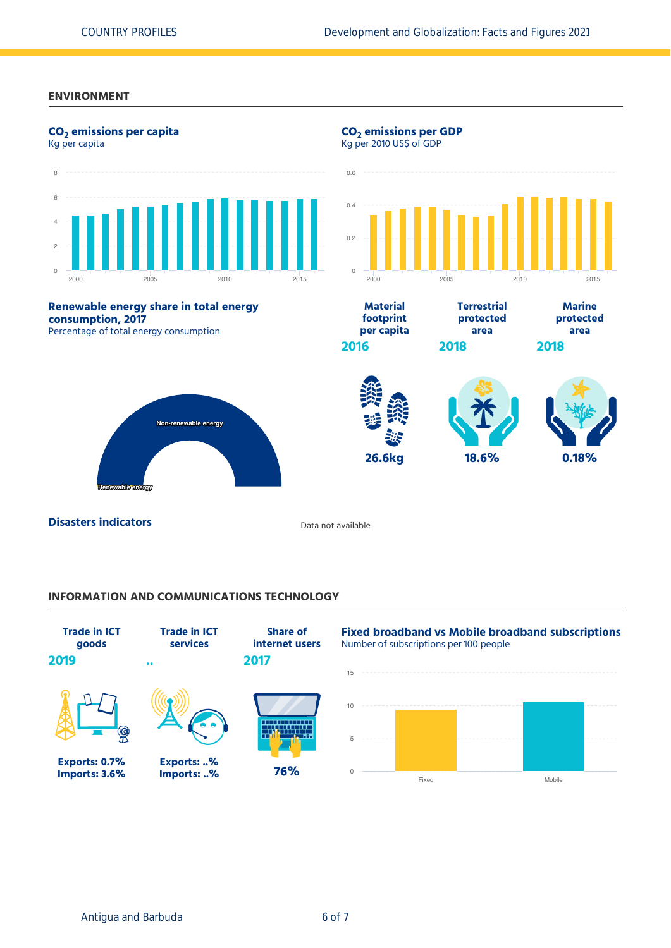#### **ENVIRONMENT**



# **INFORMATION AND COMMUNICATIONS TECHNOLOGY**